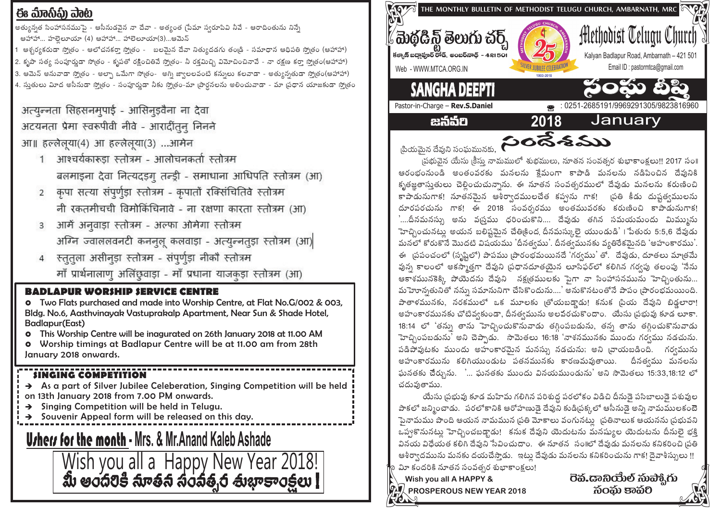### ఈ మేశెస్ట్ మేత్తు

అత్యున్నత సింహాసనముపై - ఆసీనుడవైన నా దేవా - అత్యంత (పేమా స్వరూపివి నీవే - ఆరాదింతును నిన్నే ఆహాహా... హలెలూయా (4) ఆహాహా... హాలెలూయా(3)...ఆమెన్

1 ఆశ్చర్యకరుడా స్వోతం - ఆలోచనకరా స్వోతం - బలమెన దేవా నిత్యుదడగు తం్డి - సమాధాన ఆధిపతి స్వోతం (ఆహాహా) 2. కృపా సత్య సంపూర్తుడా సోతం - కృపతో రక్షించితివే స్వోతం- నీ రక్షమిచ్చి విమోచించినావే - నా రక్షణ కరా స్మోతం(ఆహాహా) 3. ఆమెన్ అనువాడా స్మోతం - అల్పా ఒమేగా సోతం- అగ్ని జ్వాలలవంటి కన్నులు కలవాడా - అత్యున్నతుడా స్మోతం(ఆహాహా) 4. సుతులు మీద అసీనుడా స్మోతం - సంపూర్తుడా నీకు స్మోతం-మా (పార్గనలను అలించువాడా - మా (పధాన యాజకుడా స్మోతం

अत्युल्नता सिहसनमुपाई - आसिनुइवैना ना देवा अटयनता प्रेमा स्वरूपीवी नीवे - आरादींतुन् निनने

आ॥ हल्लेलया(4) आ हल्लेलया(3) ...आमेन

- आश्चर्यकारूडा स्तोत्रम आलोचनकर्ता स्तोत्रम  $\mathbf{1}$ बलमाइना देवा नित्यदड़गू तन्ड़ी - समाधाना आधिपति स्तोत्रम (आ)
- कृपा सत्या संपूर्णुड़ा स्तोत्रम कृपातौं रक्सिंचितिवे स्तोत्रम  $\overline{2}$ नी रकतमीचची विमोकिंचिनावे - ना रक्षणा कारता स्तोत्रम (आ)
- आर्मे अनुवाड़ा स्तोत्रम अल्फा ओमेगा स्तोत्रम  $\overline{3}$ अग्नि ज्वाललवनटी कनन्लू कलवाड़ा - अत्युन्नतुड़ा स्तोत्रम (आ)
- स्ततला असीनडा स्तोत्रम संपर्णडा नीकौ स्तोत्रम  $\overline{4}$ माँ प्रार्थनालाणु अलिंछुवाड़ा - माँ प्रधाना याजकड़ा स्तोत्रम (आ)

### **BADLAPUR WORSHIP SERVICE CENTRE**

**o** Two Flats purchased and made into Worship Centre, at Flat No.G/002 & 003, Bldg. No.6, Aasthvinayak Vastuprakalp Apartment, Near Sun & Shade Hotel, Badlapur(East)

o This Worship Centre will be inagurated on 26th January 2018 at 11.00 AM

**o** Worship timings at Badlapur Centre will be at 11.00 am from 28th January 2018 onwards.

### **SINGING COMPETITION**

As a part of Silver Jubilee Celeberation, Singing Competition will be held on 13th January 2018 from 7.00 PM onwards.

- $\rightarrow$  Singing Competition will be held in Telugu.
- Souvenir Appeal form will be released on this day.

## **Urhers for the month - Mrs. & Mr. Anand Kaleb Ashade**

Wish you all a Happy New Year 2018!<br>**మీ అందలికి నూతన సంవత్నర మభాకాంక్షలు I** 



ృపభువైన యేసు ృకీసు నామములో శుభములు, నూతన సంవత్సర శుభాకాంకలు!! 2017 సం॥ ఆరంభంనుండి అంతంవరకు మనలను క్షేమంగా కాపాడి మనలను నడిపించిన దేవునికి కృతజతాసుతులు చెలించుచున్నాను. ఈ నూతన సంవత్సరములో దేవుడు మనలను కరుణించి కాపాడునుగాక! నూతనమైన ఆశీర్వాదములచేత కప్పను గాక! బాతి కీడు దుష్టత్వములను దూరపరచును గాక! ఈ 2018 సంవర్నరము అంతమువరకు కరుణించి కాపాడునుగాక! '....దీనమనస్సు అను వ్రస్తము ధరించుకొని.... దేవుడు తగిన సమయమందు మిమ్మును హెచ్చించునటు అయన బలిష్టమైన చేతి్కింద దీనమస్కులె యుండుడి' । పేతురు 5:5,6 దేవుడు మనలో కోరుకొనే మొదటి విషయము 'దీనత్వము'. దీనత్వమునకు వ్యతిరేకమైనది 'అహంకారము'. ఈ బ్రపంచంలో (సృష్టిలో) పాపము ప్రారంభమయినదే 'గర్వము' తో. దేవుడు, దూతలు మాత్రమే వున్న కాలంలో అకస్మాత్తగా దేవుని (పధానదూతయైన లూసిఫర్లో కలిగిన గర్వపు తలంపు 'నేను ఆకాశమునకెక్కి పోయెదను దేవుని సక్షతములకు పైగా నా సింహాసనమును హెచ్చింతును... మెహూన్నతునితో నన్ను సమానునిగా చేసికొందును....' అనుకొనటంతోనే పాపం (పారంభమయింది. పాతాళమునకు, నరకములో ఒక మూలకు (తోయబడ్మాడు! కనుక (పియ దేవుని బిడ్డలారా! అహంకారమునకు చోటివ్వకుండా, దీనత్వమును అలవరచుకొందాం. యేసు స్టభువు కూడ లూకా. 18:14 లో 'తన్ను తాను హెచ్చించుకొనువాడు తగ్గింపబడును, తన్న తాను తగ్గించుకొనువాడు హెచ్చింపబడును' అని చెప్పాడు. సామెతలు 16:18 'నాశనమునకు ముందు గర్వము నడచును. పడిపోవుటకు ముందు అహంకారమైన మనస్సు నడచును; అని దాయబడింది. గర్వమును అహంకారమును కలిగియుండుట పతనమునకు కారణమవుతాయి. దీనత్వము మనలను ఘనతకు చేర్చును. ే... ఘనతకు ముందు వినయముండును' అని సామెతలు 15:33,18:12 లో చదువుతాము.

యేసు (పభువు కూడ మహిమ గలిగిన పరిశుద్ధ పరలోకం విడిచి దీనుడై పసిబాలుడై పశువుల పాకలో జన్మించాడు. పరలోకానికి ఆరోహణుడె దేవుని కుడి|పక్కలో ఆసీనుడె అన్ని నామములకంటె పైనామము పొంది ఆయన నామమున (పతి మోకాలు వంగునటుౖ (పతినాలుక ఆయనను ¦పభువని ఒప్పకొనునట్లు హెచ్చించబడ్వాడు! కనుక దేవుని యెదుటను మనష్యుల యెదుటను దీనులై భక్తి వినయ విధేయత కలిగి దేవుని సేవించుదాం. ఈ నూతన సం॥లో దేవుడు మనలను కనికరించి।పతి ఆశీర్వాదమును మనకు దయచేస్తాడు. ఇట్లు దేవుడు మనలను కనికరించును గాక! దైవాశీస్సులు !! 0 మీ కందరికి నూతన సంవత్సర శుభాకాంక్షలు!

Wish you all A HAPPY & **WALK** PROSPEROUS NEW YEAR 2018

సంఘ కానం